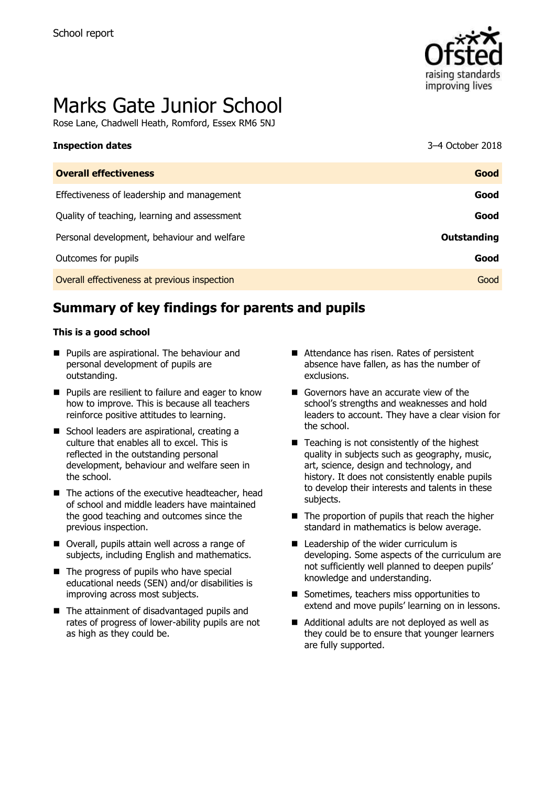

# Marks Gate Junior School

Rose Lane, Chadwell Heath, Romford, Essex RM6 5NJ

| <b>Inspection dates</b>                      | 3–4 October 2018   |
|----------------------------------------------|--------------------|
| <b>Overall effectiveness</b>                 | Good               |
| Effectiveness of leadership and management   | Good               |
| Quality of teaching, learning and assessment | Good               |
| Personal development, behaviour and welfare  | <b>Outstanding</b> |
| Outcomes for pupils                          | Good               |
| Overall effectiveness at previous inspection | Good               |
|                                              |                    |

# **Summary of key findings for parents and pupils**

#### **This is a good school**

- **Pupils are aspirational. The behaviour and** personal development of pupils are outstanding.
- **Pupils are resilient to failure and eager to know** how to improve. This is because all teachers reinforce positive attitudes to learning.
- School leaders are aspirational, creating a culture that enables all to excel. This is reflected in the outstanding personal development, behaviour and welfare seen in the school.
- $\blacksquare$  The actions of the executive headteacher, head of school and middle leaders have maintained the good teaching and outcomes since the previous inspection.
- Overall, pupils attain well across a range of subjects, including English and mathematics.
- The progress of pupils who have special educational needs (SEN) and/or disabilities is improving across most subjects.
- The attainment of disadvantaged pupils and rates of progress of lower-ability pupils are not as high as they could be.
- Attendance has risen. Rates of persistent absence have fallen, as has the number of exclusions.
- Governors have an accurate view of the school's strengths and weaknesses and hold leaders to account. They have a clear vision for the school.
- Teaching is not consistently of the highest quality in subjects such as geography, music, art, science, design and technology, and history. It does not consistently enable pupils to develop their interests and talents in these subjects.
- $\blacksquare$  The proportion of pupils that reach the higher standard in mathematics is below average.
- Leadership of the wider curriculum is developing. Some aspects of the curriculum are not sufficiently well planned to deepen pupils' knowledge and understanding.
- Sometimes, teachers miss opportunities to extend and move pupils' learning on in lessons.
- Additional adults are not deployed as well as they could be to ensure that younger learners are fully supported.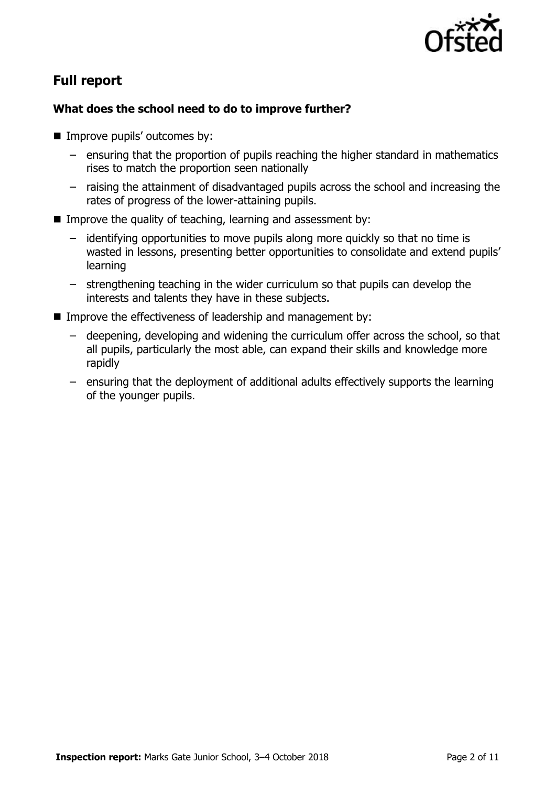

# **Full report**

### **What does the school need to do to improve further?**

- **Improve pupils' outcomes by:** 
	- ensuring that the proportion of pupils reaching the higher standard in mathematics rises to match the proportion seen nationally
	- raising the attainment of disadvantaged pupils across the school and increasing the rates of progress of the lower-attaining pupils.
- Improve the quality of teaching, learning and assessment by:
	- identifying opportunities to move pupils along more quickly so that no time is wasted in lessons, presenting better opportunities to consolidate and extend pupils' learning
	- strengthening teaching in the wider curriculum so that pupils can develop the interests and talents they have in these subjects.
- **IMPROVE the effectiveness of leadership and management by:** 
	- deepening, developing and widening the curriculum offer across the school, so that all pupils, particularly the most able, can expand their skills and knowledge more rapidly
	- ensuring that the deployment of additional adults effectively supports the learning of the younger pupils.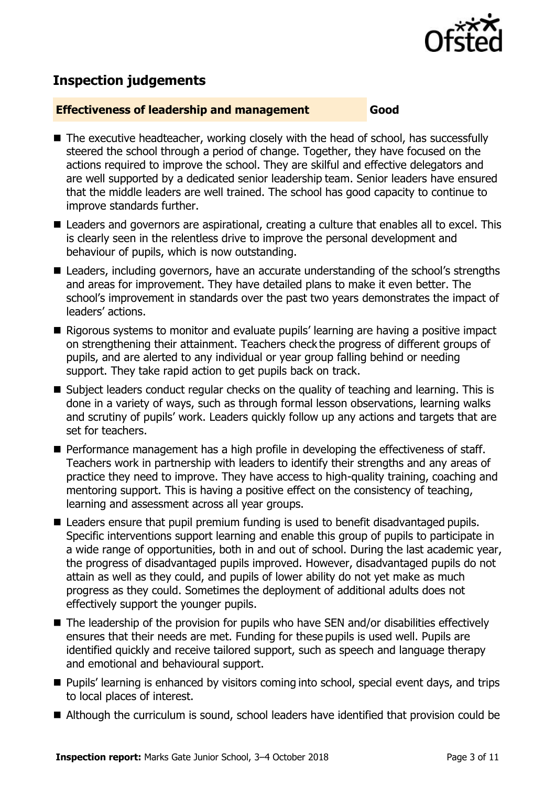

# **Inspection judgements**

#### **Effectiveness of leadership and management Good**

- The executive headteacher, working closely with the head of school, has successfully steered the school through a period of change. Together, they have focused on the actions required to improve the school. They are skilful and effective delegators and are well supported by a dedicated senior leadership team. Senior leaders have ensured that the middle leaders are well trained. The school has good capacity to continue to improve standards further.
- Leaders and governors are aspirational, creating a culture that enables all to excel. This is clearly seen in the relentless drive to improve the personal development and behaviour of pupils, which is now outstanding.
- Leaders, including governors, have an accurate understanding of the school's strengths and areas for improvement. They have detailed plans to make it even better. The school's improvement in standards over the past two years demonstrates the impact of leaders' actions.
- Rigorous systems to monitor and evaluate pupils' learning are having a positive impact on strengthening their attainment. Teachers check the progress of different groups of pupils, and are alerted to any individual or year group falling behind or needing support. They take rapid action to get pupils back on track.
- Subject leaders conduct regular checks on the quality of teaching and learning. This is done in a variety of ways, such as through formal lesson observations, learning walks and scrutiny of pupils' work. Leaders quickly follow up any actions and targets that are set for teachers.
- **Performance management has a high profile in developing the effectiveness of staff.** Teachers work in partnership with leaders to identify their strengths and any areas of practice they need to improve. They have access to high-quality training, coaching and mentoring support. This is having a positive effect on the consistency of teaching, learning and assessment across all year groups.
- Leaders ensure that pupil premium funding is used to benefit disadvantaged pupils. Specific interventions support learning and enable this group of pupils to participate in a wide range of opportunities, both in and out of school. During the last academic year, the progress of disadvantaged pupils improved. However, disadvantaged pupils do not attain as well as they could, and pupils of lower ability do not yet make as much progress as they could. Sometimes the deployment of additional adults does not effectively support the younger pupils.
- $\blacksquare$  The leadership of the provision for pupils who have SEN and/or disabilities effectively ensures that their needs are met. Funding for these pupils is used well. Pupils are identified quickly and receive tailored support, such as speech and language therapy and emotional and behavioural support.
- **Pupils' learning is enhanced by visitors coming into school, special event days, and trips** to local places of interest.
- Although the curriculum is sound, school leaders have identified that provision could be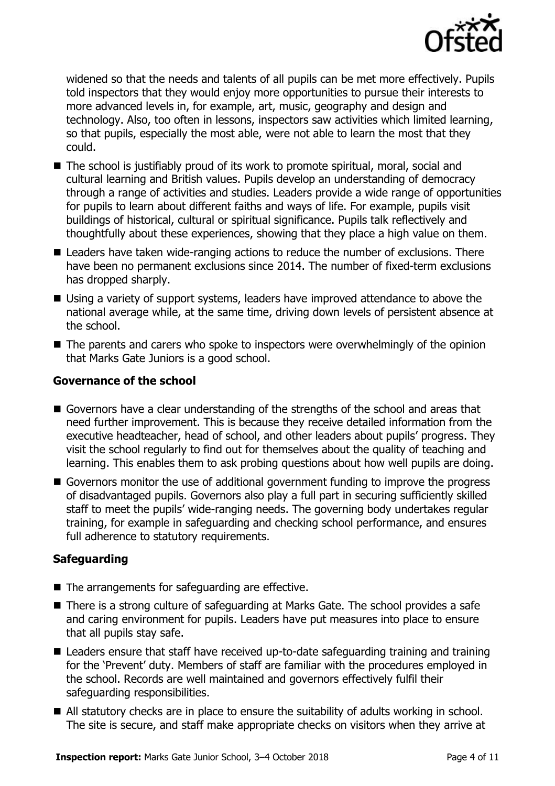

widened so that the needs and talents of all pupils can be met more effectively. Pupils told inspectors that they would enjoy more opportunities to pursue their interests to more advanced levels in, for example, art, music, geography and design and technology. Also, too often in lessons, inspectors saw activities which limited learning, so that pupils, especially the most able, were not able to learn the most that they could.

- The school is justifiably proud of its work to promote spiritual, moral, social and cultural learning and British values. Pupils develop an understanding of democracy through a range of activities and studies. Leaders provide a wide range of opportunities for pupils to learn about different faiths and ways of life. For example, pupils visit buildings of historical, cultural or spiritual significance. Pupils talk reflectively and thoughtfully about these experiences, showing that they place a high value on them.
- Leaders have taken wide-ranging actions to reduce the number of exclusions. There have been no permanent exclusions since 2014. The number of fixed-term exclusions has dropped sharply.
- Using a variety of support systems, leaders have improved attendance to above the national average while, at the same time, driving down levels of persistent absence at the school.
- The parents and carers who spoke to inspectors were overwhelmingly of the opinion that Marks Gate Juniors is a good school.

#### **Governance of the school**

- Governors have a clear understanding of the strengths of the school and areas that need further improvement. This is because they receive detailed information from the executive headteacher, head of school, and other leaders about pupils' progress. They visit the school regularly to find out for themselves about the quality of teaching and learning. This enables them to ask probing questions about how well pupils are doing.
- Governors monitor the use of additional government funding to improve the progress of disadvantaged pupils. Governors also play a full part in securing sufficiently skilled staff to meet the pupils' wide-ranging needs. The governing body undertakes regular training, for example in safeguarding and checking school performance, and ensures full adherence to statutory requirements.

#### **Safeguarding**

- $\blacksquare$  The arrangements for safeguarding are effective.
- There is a strong culture of safeguarding at Marks Gate. The school provides a safe and caring environment for pupils. Leaders have put measures into place to ensure that all pupils stay safe.
- Leaders ensure that staff have received up-to-date safeguarding training and training for the 'Prevent' duty. Members of staff are familiar with the procedures employed in the school. Records are well maintained and governors effectively fulfil their safeguarding responsibilities.
- All statutory checks are in place to ensure the suitability of adults working in school. The site is secure, and staff make appropriate checks on visitors when they arrive at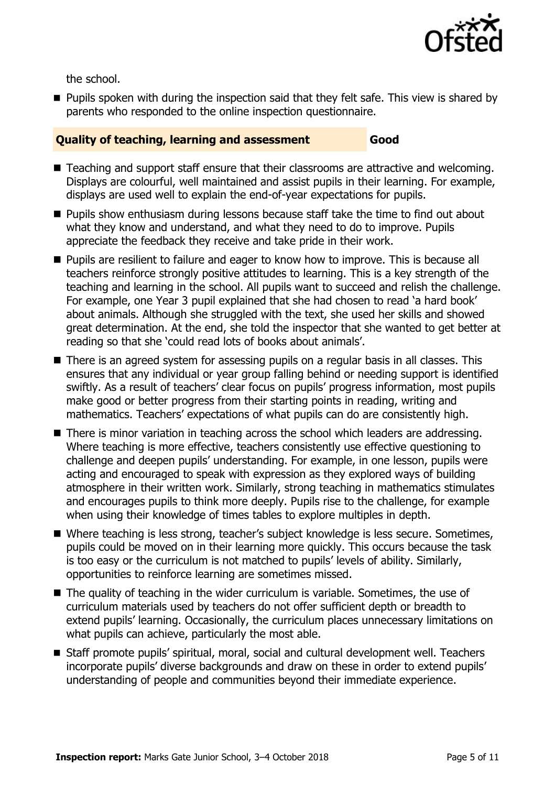

the school.

**Pupils spoken with during the inspection said that they felt safe. This view is shared by** parents who responded to the online inspection questionnaire.

#### **Quality of teaching, learning and assessment Good**

- Teaching and support staff ensure that their classrooms are attractive and welcoming. Displays are colourful, well maintained and assist pupils in their learning. For example, displays are used well to explain the end-of-year expectations for pupils.
- **Pupils show enthusiasm during lessons because staff take the time to find out about** what they know and understand, and what they need to do to improve. Pupils appreciate the feedback they receive and take pride in their work.
- **Pupils are resilient to failure and eager to know how to improve. This is because all** teachers reinforce strongly positive attitudes to learning. This is a key strength of the teaching and learning in the school. All pupils want to succeed and relish the challenge. For example, one Year 3 pupil explained that she had chosen to read 'a hard book' about animals. Although she struggled with the text, she used her skills and showed great determination. At the end, she told the inspector that she wanted to get better at reading so that she 'could read lots of books about animals'.
- There is an agreed system for assessing pupils on a regular basis in all classes. This ensures that any individual or year group falling behind or needing support is identified swiftly. As a result of teachers' clear focus on pupils' progress information, most pupils make good or better progress from their starting points in reading, writing and mathematics. Teachers' expectations of what pupils can do are consistently high.
- There is minor variation in teaching across the school which leaders are addressing. Where teaching is more effective, teachers consistently use effective questioning to challenge and deepen pupils' understanding. For example, in one lesson, pupils were acting and encouraged to speak with expression as they explored ways of building atmosphere in their written work. Similarly, strong teaching in mathematics stimulates and encourages pupils to think more deeply. Pupils rise to the challenge, for example when using their knowledge of times tables to explore multiples in depth.
- Where teaching is less strong, teacher's subject knowledge is less secure. Sometimes, pupils could be moved on in their learning more quickly. This occurs because the task is too easy or the curriculum is not matched to pupils' levels of ability. Similarly, opportunities to reinforce learning are sometimes missed.
- The quality of teaching in the wider curriculum is variable. Sometimes, the use of curriculum materials used by teachers do not offer sufficient depth or breadth to extend pupils' learning. Occasionally, the curriculum places unnecessary limitations on what pupils can achieve, particularly the most able.
- Staff promote pupils' spiritual, moral, social and cultural development well. Teachers incorporate pupils' diverse backgrounds and draw on these in order to extend pupils' understanding of people and communities beyond their immediate experience.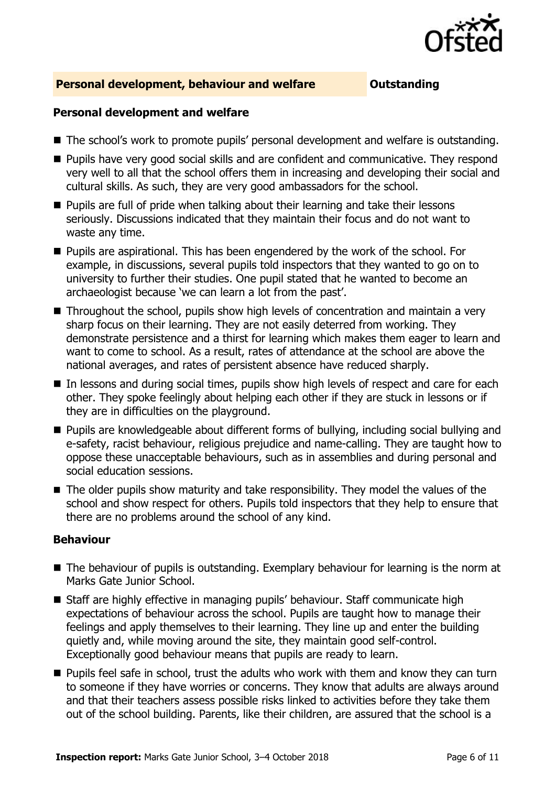

#### **Personal development, behaviour and welfare <b>COUNG COULDER** Outstanding

#### **Personal development and welfare**

- The school's work to promote pupils' personal development and welfare is outstanding.
- **Pupils have very good social skills and are confident and communicative. They respond** very well to all that the school offers them in increasing and developing their social and cultural skills. As such, they are very good ambassadors for the school.
- **Pupils are full of pride when talking about their learning and take their lessons** seriously. Discussions indicated that they maintain their focus and do not want to waste any time.
- **Pupils are aspirational. This has been engendered by the work of the school. For** example, in discussions, several pupils told inspectors that they wanted to go on to university to further their studies. One pupil stated that he wanted to become an archaeologist because 'we can learn a lot from the past'.
- Throughout the school, pupils show high levels of concentration and maintain a very sharp focus on their learning. They are not easily deterred from working. They demonstrate persistence and a thirst for learning which makes them eager to learn and want to come to school. As a result, rates of attendance at the school are above the national averages, and rates of persistent absence have reduced sharply.
- In lessons and during social times, pupils show high levels of respect and care for each other. They spoke feelingly about helping each other if they are stuck in lessons or if they are in difficulties on the playground.
- Pupils are knowledgeable about different forms of bullying, including social bullying and e-safety, racist behaviour, religious prejudice and name-calling. They are taught how to oppose these unacceptable behaviours, such as in assemblies and during personal and social education sessions.
- The older pupils show maturity and take responsibility. They model the values of the school and show respect for others. Pupils told inspectors that they help to ensure that there are no problems around the school of any kind.

#### **Behaviour**

- The behaviour of pupils is outstanding. Exemplary behaviour for learning is the norm at Marks Gate Junior School.
- Staff are highly effective in managing pupils' behaviour. Staff communicate high expectations of behaviour across the school. Pupils are taught how to manage their feelings and apply themselves to their learning. They line up and enter the building quietly and, while moving around the site, they maintain good self-control. Exceptionally good behaviour means that pupils are ready to learn.
- **Pupils feel safe in school, trust the adults who work with them and know they can turn** to someone if they have worries or concerns. They know that adults are always around and that their teachers assess possible risks linked to activities before they take them out of the school building. Parents, like their children, are assured that the school is a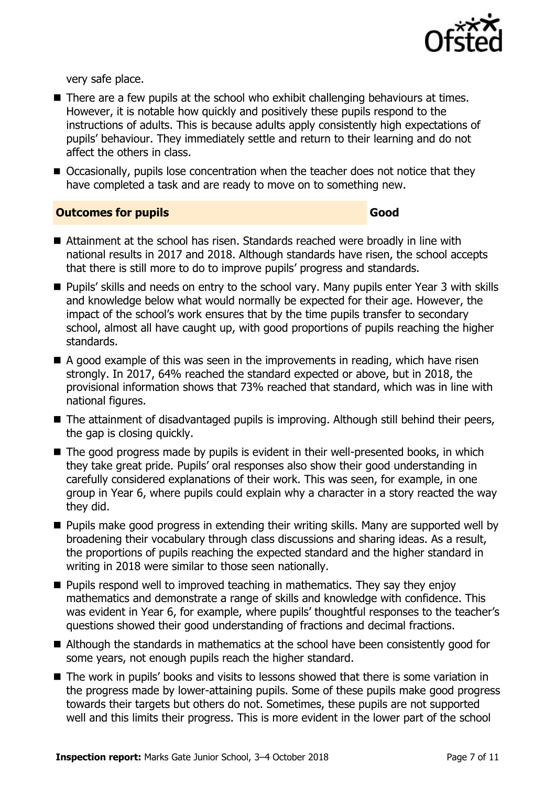

very safe place.

- There are a few pupils at the school who exhibit challenging behaviours at times. However, it is notable how quickly and positively these pupils respond to the instructions of adults. This is because adults apply consistently high expectations of pupils' behaviour. They immediately settle and return to their learning and do not affect the others in class.
- Occasionally, pupils lose concentration when the teacher does not notice that they have completed a task and are ready to move on to something new.

**Outcomes for pupils Good** 

- Attainment at the school has risen. Standards reached were broadly in line with national results in 2017 and 2018. Although standards have risen, the school accepts that there is still more to do to improve pupils' progress and standards.
- Pupils' skills and needs on entry to the school vary. Many pupils enter Year 3 with skills and knowledge below what would normally be expected for their age. However, the impact of the school's work ensures that by the time pupils transfer to secondary school, almost all have caught up, with good proportions of pupils reaching the higher standards.
- $\blacksquare$  A good example of this was seen in the improvements in reading, which have risen strongly. In 2017, 64% reached the standard expected or above, but in 2018, the provisional information shows that 73% reached that standard, which was in line with national figures.
- The attainment of disadvantaged pupils is improving. Although still behind their peers, the gap is closing quickly.
- $\blacksquare$  The good progress made by pupils is evident in their well-presented books, in which they take great pride. Pupils' oral responses also show their good understanding in carefully considered explanations of their work. This was seen, for example, in one group in Year 6, where pupils could explain why a character in a story reacted the way they did.
- **Pupils make good progress in extending their writing skills. Many are supported well by** broadening their vocabulary through class discussions and sharing ideas. As a result, the proportions of pupils reaching the expected standard and the higher standard in writing in 2018 were similar to those seen nationally.
- $\blacksquare$  Pupils respond well to improved teaching in mathematics. They say they enjoy mathematics and demonstrate a range of skills and knowledge with confidence. This was evident in Year 6, for example, where pupils' thoughtful responses to the teacher's questions showed their good understanding of fractions and decimal fractions.
- Although the standards in mathematics at the school have been consistently good for some years, not enough pupils reach the higher standard.
- The work in pupils' books and visits to lessons showed that there is some variation in the progress made by lower-attaining pupils. Some of these pupils make good progress towards their targets but others do not. Sometimes, these pupils are not supported well and this limits their progress. This is more evident in the lower part of the school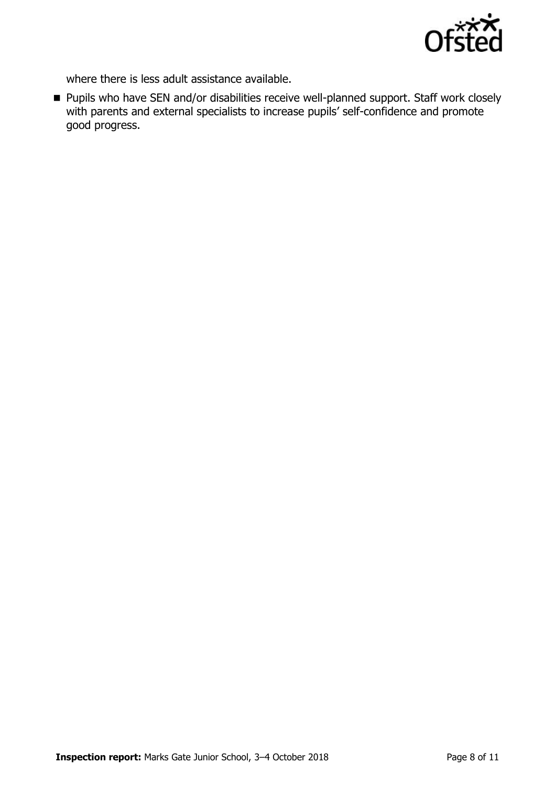

where there is less adult assistance available.

■ Pupils who have SEN and/or disabilities receive well-planned support. Staff work closely with parents and external specialists to increase pupils' self-confidence and promote good progress.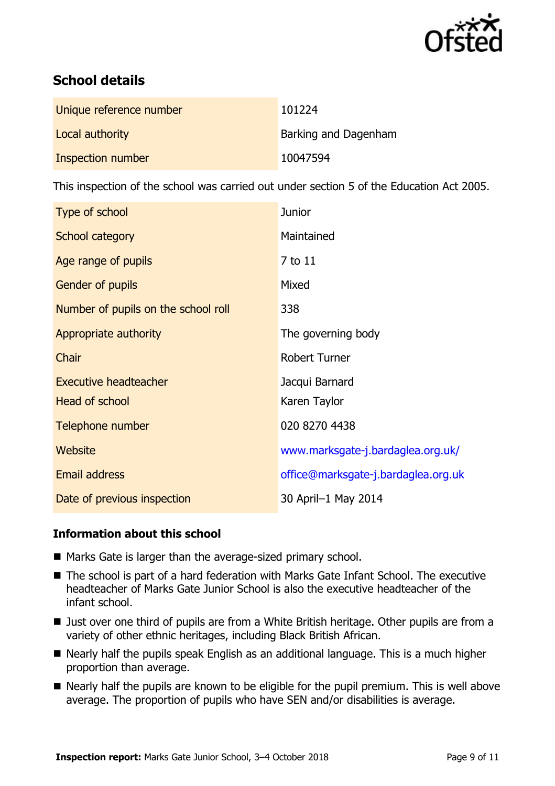

# **School details**

| Unique reference number | 101224               |
|-------------------------|----------------------|
| Local authority         | Barking and Dagenham |
| Inspection number       | 10047594             |

This inspection of the school was carried out under section 5 of the Education Act 2005.

| Type of school                      | <b>Junior</b>                       |
|-------------------------------------|-------------------------------------|
| School category                     | Maintained                          |
| Age range of pupils                 | 7 to 11                             |
| Gender of pupils                    | Mixed                               |
| Number of pupils on the school roll | 338                                 |
| Appropriate authority               | The governing body                  |
| Chair                               | <b>Robert Turner</b>                |
| <b>Executive headteacher</b>        | Jacqui Barnard                      |
| Head of school                      | Karen Taylor                        |
| Telephone number                    | 020 8270 4438                       |
| Website                             | www.marksgate-j.bardaglea.org.uk/   |
| <b>Email address</b>                | office@marksgate-j.bardaglea.org.uk |
| Date of previous inspection         | 30 April-1 May 2014                 |

#### **Information about this school**

- Marks Gate is larger than the average-sized primary school.
- The school is part of a hard federation with Marks Gate Infant School. The executive headteacher of Marks Gate Junior School is also the executive headteacher of the infant school.
- Just over one third of pupils are from a White British heritage. Other pupils are from a variety of other ethnic heritages, including Black British African.
- Nearly half the pupils speak English as an additional language. This is a much higher proportion than average.
- Nearly half the pupils are known to be eligible for the pupil premium. This is well above average. The proportion of pupils who have SEN and/or disabilities is average.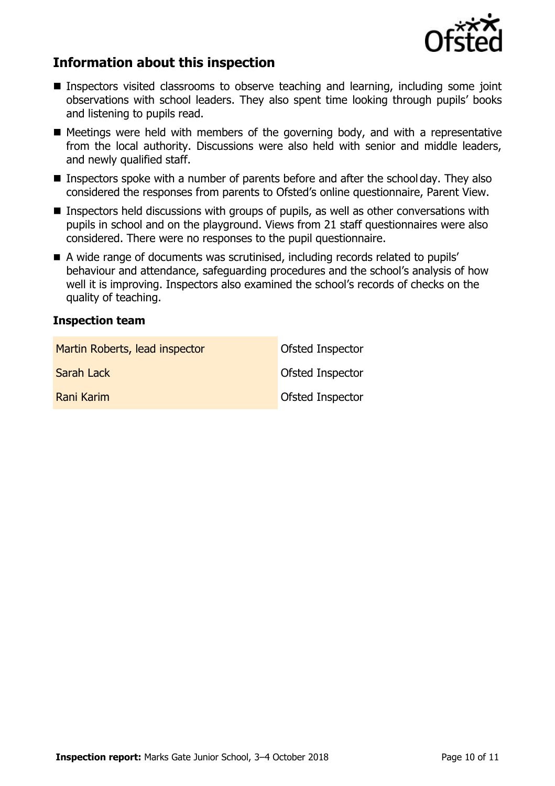

# **Information about this inspection**

- Inspectors visited classrooms to observe teaching and learning, including some joint observations with school leaders. They also spent time looking through pupils' books and listening to pupils read.
- $\blacksquare$  Meetings were held with members of the governing body, and with a representative from the local authority. Discussions were also held with senior and middle leaders, and newly qualified staff.
- **Inspectors spoke with a number of parents before and after the school day. They also** considered the responses from parents to Ofsted's online questionnaire, Parent View.
- **Inspectors held discussions with groups of pupils, as well as other conversations with** pupils in school and on the playground. Views from 21 staff questionnaires were also considered. There were no responses to the pupil questionnaire.
- A wide range of documents was scrutinised, including records related to pupils' behaviour and attendance, safeguarding procedures and the school's analysis of how well it is improving. Inspectors also examined the school's records of checks on the quality of teaching.

#### **Inspection team**

| Martin Roberts, lead inspector | Ofsted Inspector        |
|--------------------------------|-------------------------|
| Sarah Lack                     | <b>Ofsted Inspector</b> |
| Rani Karim                     | Ofsted Inspector        |